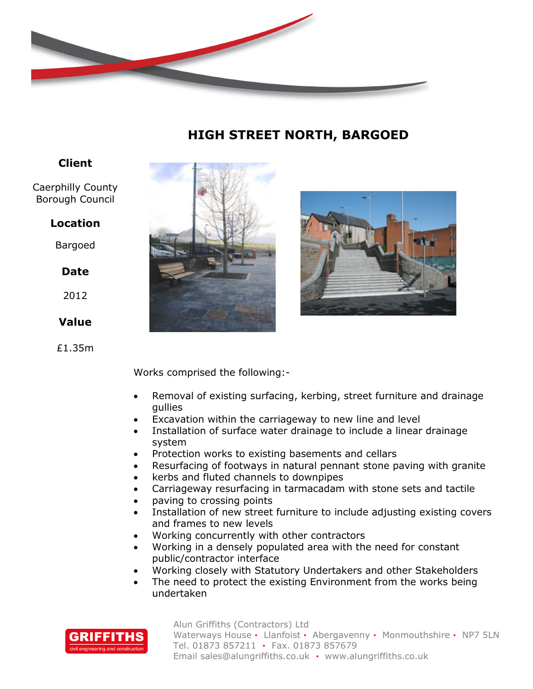

# **HIGH STREET NORTH, BARGOED**

## **Client**

Caerphilly County Borough Council

## **Location**

Bargoed

## **Date**

2012

## **Value**

£1.35m





Works comprised the following:-

- Removal of existing surfacing, kerbing, street furniture and drainage gullies
- Excavation within the carriageway to new line and level
- Installation of surface water drainage to include a linear drainage system
- Protection works to existing basements and cellars
- Resurfacing of footways in natural pennant stone paving with granite
- kerbs and fluted channels to downpipes
- Carriageway resurfacing in tarmacadam with stone sets and tactile
- paving to crossing points
- Installation of new street furniture to include adjusting existing covers and frames to new levels
- Working concurrently with other contractors
- Working in a densely populated area with the need for constant public/contractor interface
- Working closely with Statutory Undertakers and other Stakeholders
- The need to protect the existing Environment from the works being undertaken



Alun Griffiths (Contractors) Ltd Waterways House **·** Llanfoist **·** Abergavenny **·** Monmouthshire **·** NP7 5LN Tel. 01873 857211 **·** Fax. 01873 857679